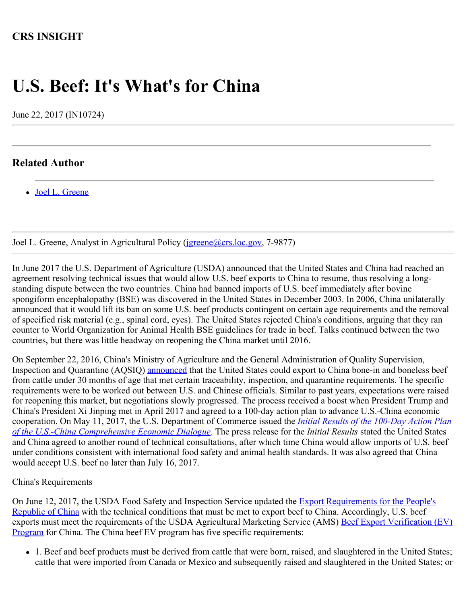# **CRS INSIGHT**

# **U.S. Beef: It's What's for China**

June 22, 2017 (IN10724)

## **Related Author**

|

|

[Joel L. Greene](http://www.crs.gov/Author/index?id=101552)

Joel L. Greene, Analyst in Agricultural Policy (*jgreene@crs.loc.gov*, 7-9877)

In June 2017 the U.S. Department of Agriculture (USDA) announced that the United States and China had reached an agreement resolving technical issues that would allow U.S. beef exports to China to resume, thus resolving a longstanding dispute between the two countries. China had banned imports of U.S. beef immediately after bovine spongiform encephalopathy (BSE) was discovered in the United States in December 2003. In 2006, China unilaterally announced that it would lift its ban on some U.S. beef products contingent on certain age requirements and the removal of specified risk material (e.g., spinal cord, eyes). The United States rejected China's conditions, arguing that they ran counter to World Organization for Animal Health BSE guidelines for trade in beef. Talks continued between the two countries, but there was little headway on reopening the China market until 2016.

On September 22, 2016, China's Ministry of Agriculture and the General Administration of Quality Supervision, Inspection and Quarantine (AQSIQ) [announced](http://www.meatingplace.com/Industry/News/Details/68936) that the United States could export to China bone-in and boneless beef from cattle under 30 months of age that met certain traceability, inspection, and quarantine requirements. The specific requirements were to be worked out between U.S. and Chinese officials. Similar to past years, expectations were raised for reopening this market, but negotiations slowly progressed. The process received a boost when President Trump and China's President Xi Jinping met in April 2017 and agreed to a 100-day action plan to advance U.S.-China economic cooperation. On May 11, 2017, the U.S. Department of Commerce issued the *[Initial Results of the 100-Day Action Plan](https://www.commerce.gov/news/press-releases/2017/05/joint-release-initial-results-100-day-action-plan-us-china-comprehensive) [of the U.S.-China Comprehensive Economic Dialogue](https://www.commerce.gov/news/press-releases/2017/05/joint-release-initial-results-100-day-action-plan-us-china-comprehensive)*. The press release for the *Initial Results* stated the United States and China agreed to another round of technical consultations, after which time China would allow imports of U.S. beef under conditions consistent with international food safety and animal health standards. It was also agreed that China would accept U.S. beef no later than July 16, 2017.

#### China's Requirements

On June 12, 2017, the USDA Food Safety and Inspection Service updated the **Export Requirements for the People's** [Republic of China](https://www.fsis.usda.gov/wps/portal/fsis/topics/international-affairs/exporting-products/export-library-requirements-by-country/Peoples-Republic-of-China) with the technical conditions that must be met to export beef to China. Accordingly, U.S. beef exports must meet the requirements of the USDA Agricultural Marketing Service (AMS) [Beef Export Verification \(EV\)](https://www.ams.usda.gov/services/imports-exports/beef-ev-china) [Program](https://www.ams.usda.gov/services/imports-exports/beef-ev-china) for China. The China beef EV program has five specific requirements:

1. Beef and beef products must be derived from cattle that were born, raised, and slaughtered in the United States; cattle that were imported from Canada or Mexico and subsequently raised and slaughtered in the United States; or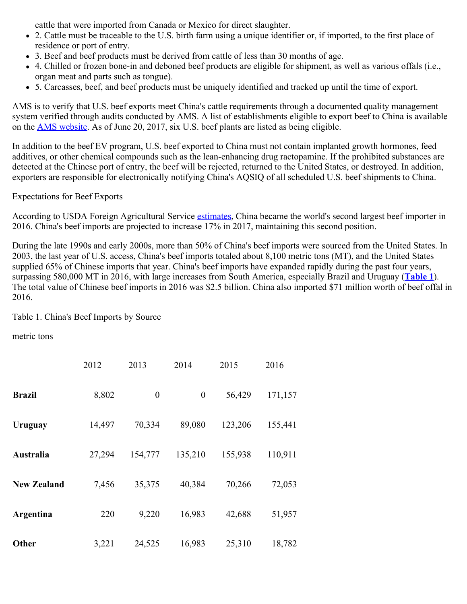cattle that were imported from Canada or Mexico for direct slaughter.

- 2. Cattle must be traceable to the U.S. birth farm using a unique identifier or, if imported, to the first place of residence or port of entry.
- 3. Beef and beef products must be derived from cattle of less than 30 months of age.
- 4. Chilled or frozen bone-in and deboned beef products are eligible for shipment, as well as various offals (i.e., organ meat and parts such as tongue).
- 5. Carcasses, beef, and beef products must be uniquely identified and tracked up until the time of export.

AMS is to verify that U.S. beef exports meet China's cattle requirements through a documented quality management system verified through audits conducted by AMS. A list of establishments eligible to export beef to China is available on the [AMS website](https://www.ams.usda.gov/services/imports-exports/bovine-ovine-and-caprine-export-verification-programs). As of June 20, 2017, six U.S. beef plants are listed as being eligible.

In addition to the beef EV program, U.S. beef exported to China must not contain implanted growth hormones, feed additives, or other chemical compounds such as the lean-enhancing drug ractopamine. If the prohibited substances are detected at the Chinese port of entry, the beef will be rejected, returned to the United States, or destroyed. In addition, exporters are responsible for electronically notifying China's AQSIQ of all scheduled U.S. beef shipments to China.

## Expectations for Beef Exports

According to USDA Foreign Agricultural Service [estimates](https://www.fas.usda.gov/data/livestock-and-poultry-world-markets-and-trade), China became the world's second largest beef importer in 2016. China's beef imports are projected to increase 17% in 2017, maintaining this second position.

During the late 1990s and early 2000s, more than 50% of China's beef imports were sourced from the United States. In 2003, the last year of U.S. access, China's beef imports totaled about 8,100 metric tons (MT), and the United States supplied 65% of Chinese imports that year. China's beef imports have expanded rapidly during the past four years, surpassing 580,000 MT in 2016, with large increases from South America, especially Brazil and Uruguay (**[Table 1](http://www.crs.gov/Reports/IN10724?source=INLanding#_Ref451156395)**). The total value of Chinese beef imports in 2016 was \$2.5 billion. China also imported \$71 million worth of beef offal in 2016.

## Table 1. China's Beef Imports by Source

metric tons

|                    | 2012   | 2013             | 2014             | 2015    | 2016    |
|--------------------|--------|------------------|------------------|---------|---------|
| <b>Brazil</b>      | 8,802  | $\boldsymbol{0}$ | $\boldsymbol{0}$ | 56,429  | 171,157 |
| Uruguay            | 14,497 | 70,334           | 89,080           | 123,206 | 155,441 |
| Australia          | 27,294 | 154,777          | 135,210          | 155,938 | 110,911 |
| <b>New Zealand</b> | 7,456  | 35,375           | 40,384           | 70,266  | 72,053  |
| Argentina          | 220    | 9,220            | 16,983           | 42,688  | 51,957  |
| Other              | 3,221  | 24,525           | 16,983           | 25,310  | 18,782  |